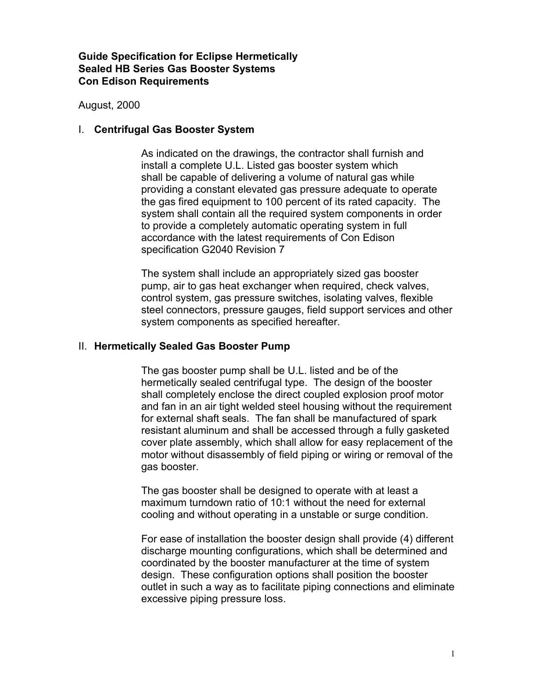# **Guide Specification for Eclipse Hermetically Sealed HB Series Gas Booster Systems Con Edison Requirements**

August, 2000

## I. **Centrifugal Gas Booster System**

As indicated on the drawings, the contractor shall furnish and install a complete U.L. Listed gas booster system which shall be capable of delivering a volume of natural gas while providing a constant elevated gas pressure adequate to operate the gas fired equipment to 100 percent of its rated capacity. The system shall contain all the required system components in order to provide a completely automatic operating system in full accordance with the latest requirements of Con Edison specification G2040 Revision 7

The system shall include an appropriately sized gas booster pump, air to gas heat exchanger when required, check valves, control system, gas pressure switches, isolating valves, flexible steel connectors, pressure gauges, field support services and other system components as specified hereafter.

## II. **Hermetically Sealed Gas Booster Pump**

The gas booster pump shall be U.L. listed and be of the hermetically sealed centrifugal type. The design of the booster shall completely enclose the direct coupled explosion proof motor and fan in an air tight welded steel housing without the requirement for external shaft seals. The fan shall be manufactured of spark resistant aluminum and shall be accessed through a fully gasketed cover plate assembly, which shall allow for easy replacement of the motor without disassembly of field piping or wiring or removal of the gas booster.

The gas booster shall be designed to operate with at least a maximum turndown ratio of 10:1 without the need for external cooling and without operating in a unstable or surge condition.

For ease of installation the booster design shall provide (4) different discharge mounting configurations, which shall be determined and coordinated by the booster manufacturer at the time of system design. These configuration options shall position the booster outlet in such a way as to facilitate piping connections and eliminate excessive piping pressure loss.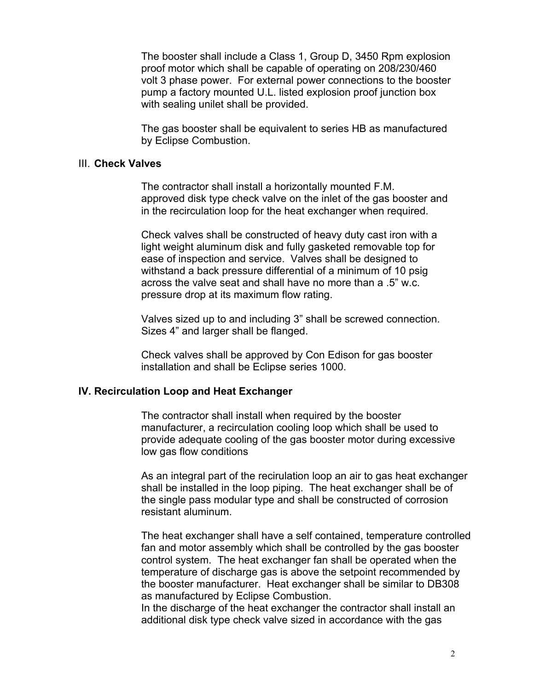The booster shall include a Class 1, Group D, 3450 Rpm explosion proof motor which shall be capable of operating on 208/230/460 volt 3 phase power. For external power connections to the booster pump a factory mounted U.L. listed explosion proof junction box with sealing unilet shall be provided.

The gas booster shall be equivalent to series HB as manufactured by Eclipse Combustion.

### III. **Check Valves**

The contractor shall install a horizontally mounted F.M. approved disk type check valve on the inlet of the gas booster and in the recirculation loop for the heat exchanger when required.

Check valves shall be constructed of heavy duty cast iron with a light weight aluminum disk and fully gasketed removable top for ease of inspection and service. Valves shall be designed to withstand a back pressure differential of a minimum of 10 psig across the valve seat and shall have no more than a .5" w.c. pressure drop at its maximum flow rating.

Valves sized up to and including 3" shall be screwed connection. Sizes 4" and larger shall be flanged.

Check valves shall be approved by Con Edison for gas booster installation and shall be Eclipse series 1000.

#### **IV. Recirculation Loop and Heat Exchanger**

The contractor shall install when required by the booster manufacturer, a recirculation cooling loop which shall be used to provide adequate cooling of the gas booster motor during excessive low gas flow conditions

As an integral part of the recirulation loop an air to gas heat exchanger shall be installed in the loop piping. The heat exchanger shall be of the single pass modular type and shall be constructed of corrosion resistant aluminum.

The heat exchanger shall have a self contained, temperature controlled fan and motor assembly which shall be controlled by the gas booster control system. The heat exchanger fan shall be operated when the temperature of discharge gas is above the setpoint recommended by the booster manufacturer. Heat exchanger shall be similar to DB308 as manufactured by Eclipse Combustion.

In the discharge of the heat exchanger the contractor shall install an additional disk type check valve sized in accordance with the gas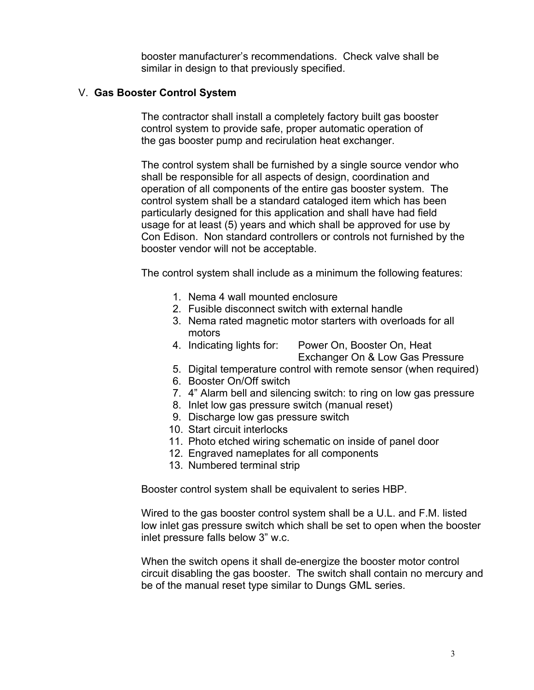booster manufacturer's recommendations. Check valve shall be similar in design to that previously specified.

### V. **Gas Booster Control System**

The contractor shall install a completely factory built gas booster control system to provide safe, proper automatic operation of the gas booster pump and recirulation heat exchanger.

The control system shall be furnished by a single source vendor who shall be responsible for all aspects of design, coordination and operation of all components of the entire gas booster system. The control system shall be a standard cataloged item which has been particularly designed for this application and shall have had field usage for at least (5) years and which shall be approved for use by Con Edison. Non standard controllers or controls not furnished by the booster vendor will not be acceptable.

The control system shall include as a minimum the following features:

- 1. Nema 4 wall mounted enclosure
- 2. Fusible disconnect switch with external handle
- 3. Nema rated magnetic motor starters with overloads for all motors
- 4. Indicating lights for: Power On, Booster On, Heat Exchanger On & Low Gas Pressure
- 5. Digital temperature control with remote sensor (when required)
- 6. Booster On/Off switch
- 7. 4" Alarm bell and silencing switch: to ring on low gas pressure
- 8. Inlet low gas pressure switch (manual reset)
- 9. Discharge low gas pressure switch
- 10. Start circuit interlocks
- 11. Photo etched wiring schematic on inside of panel door
- 12. Engraved nameplates for all components
- 13. Numbered terminal strip

Booster control system shall be equivalent to series HBP.

Wired to the gas booster control system shall be a U.L. and F.M. listed low inlet gas pressure switch which shall be set to open when the booster inlet pressure falls below 3" w.c.

When the switch opens it shall de-energize the booster motor control circuit disabling the gas booster. The switch shall contain no mercury and be of the manual reset type similar to Dungs GML series.